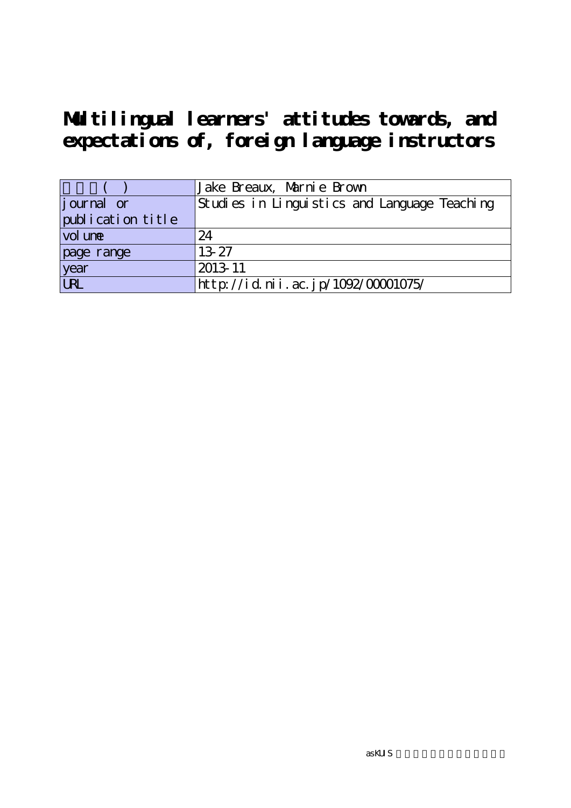**Multilingual learners' attitudes towards, and expectations of, foreign language instructors**

|                    | Jake Breaux, Marnie Brown                    |
|--------------------|----------------------------------------------|
| <i>j</i> ournal or | Studies in Linguistics and Language Teaching |
| publication title  |                                              |
| vol une            | 24                                           |
| page range         | 13-27                                        |
| year<br>URL        | 2013-11                                      |
|                    | http://id.nii.ac.jp/1092/00001075/           |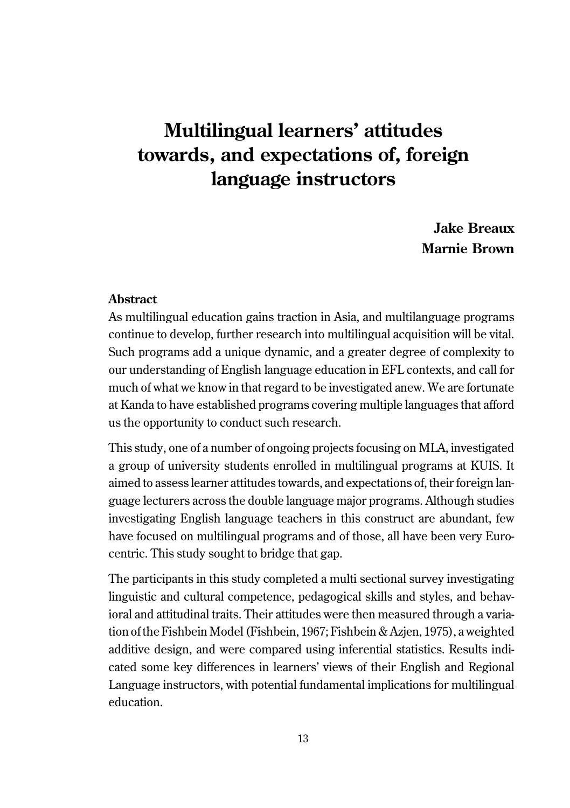# **Multilingual learners' attitudes towards, and expectations of, foreign language instructors**

**Jake Breaux Marnie Brown**

### **Abstract**

As multilingual education gains traction in Asia, and multilanguage programs continue to develop, further research into multilingual acquisition will be vital. Such programs add a unique dynamic, and a greater degree of complexity to our understanding of English language education in EFL contexts, and call for much of what we know in that regard to be investigated anew. We are fortunate at Kanda to have established programs covering multiple languages that afford us the opportunity to conduct such research.

This study, one of a number of ongoing projects focusing on MLA, investigated a group of university students enrolled in multilingual programs at KUIS. It aimed to assess learner attitudes towards, and expectations of, their foreign language lecturers across the double language major programs. Although studies investigating English language teachers in this construct are abundant, few have focused on multilingual programs and of those, all have been very Eurocentric. This study sought to bridge that gap.

The participants in this study completed a multi sectional survey investigating linguistic and cultural competence, pedagogical skills and styles, and behavioral and attitudinal traits. Their attitudes were then measured through a variation of the Fishbein Model (Fishbein, 1967; Fishbein & Azjen, 1975), a weighted additive design, and were compared using inferential statistics. Results indicated some key differences in learners' views of their English and Regional Language instructors, with potential fundamental implications for multilingual education.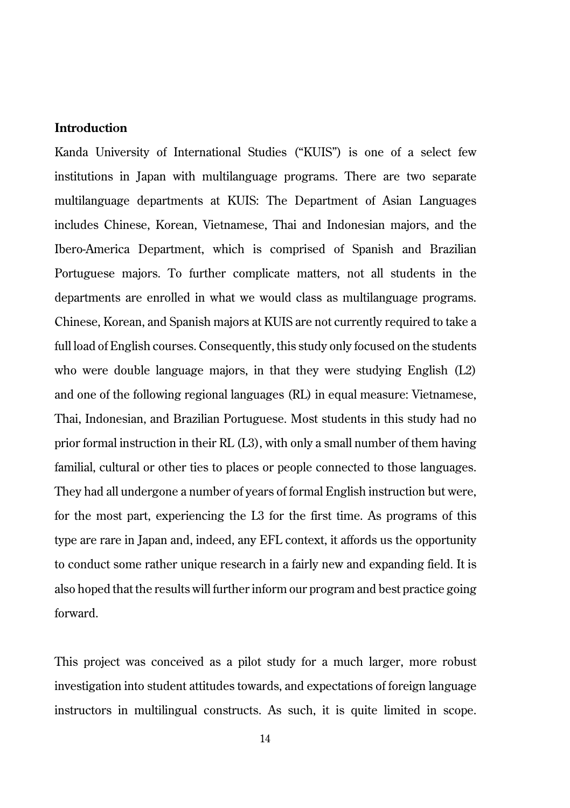# **Introduction**

Kanda University of International Studies ("KUIS") is one of a select few institutions in Japan with multilanguage programs. There are two separate multilanguage departments at KUIS: The Department of Asian Languages includes Chinese, Korean, Vietnamese, Thai and Indonesian majors, and the Ibero-America Department, which is comprised of Spanish and Brazilian Portuguese majors. To further complicate matters, not all students in the departments are enrolled in what we would class as multilanguage programs. Chinese, Korean, and Spanish majors at KUIS are not currently required to take a full load of English courses. Consequently, this study only focused on the students who were double language majors, in that they were studying English (L2) and one of the following regional languages (RL) in equal measure: Vietnamese, Thai, Indonesian, and Brazilian Portuguese. Most students in this study had no prior formal instruction in their RL (L3), with only a small number of them having familial, cultural or other ties to places or people connected to those languages. They had all undergone a number of years of formal English instruction but were, for the most part, experiencing the L3 for the first time. As programs of this type are rare in Japan and, indeed, any EFL context, it affords us the opportunity to conduct some rather unique research in a fairly new and expanding field. It is also hoped that the results will further inform our program and best practice going forward.

This project was conceived as a pilot study for a much larger, more robust investigation into student attitudes towards, and expectations of foreign language instructors in multilingual constructs. As such, it is quite limited in scope.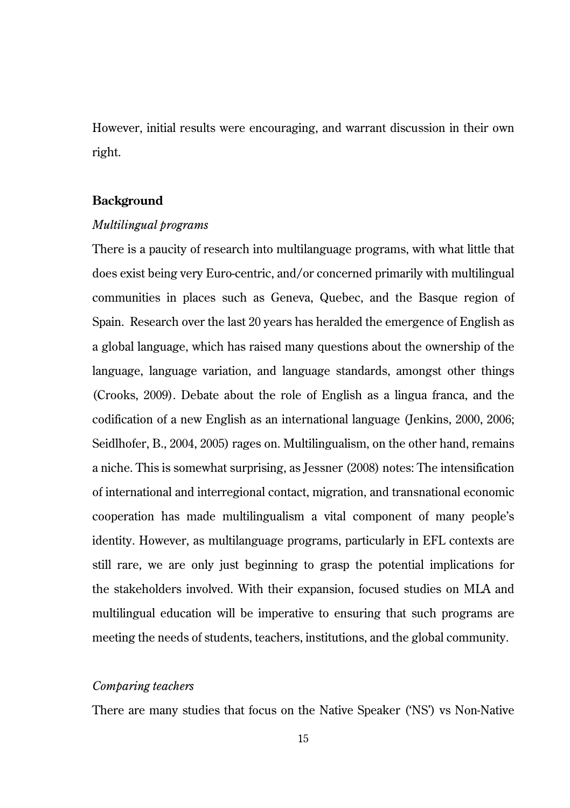However, initial results were encouraging, and warrant discussion in their own right.

### **Background**

#### *Multilingual programs*

There is a paucity of research into multilanguage programs, with what little that does exist being very Euro-centric, and/or concerned primarily with multilingual communities in places such as Geneva, Quebec, and the Basque region of Spain. Research over the last 20 years has heralded the emergence of English as a global language, which has raised many questions about the ownership of the language, language variation, and language standards, amongst other things (Crooks, 2009). Debate about the role of English as a lingua franca, and the codification of a new English as an international language (Jenkins, 2000, 2006; Seidlhofer, B., 2004, 2005) rages on. Multilingualism, on the other hand, remains a niche. This is somewhat surprising, as Jessner (2008) notes: The intensification of international and interregional contact, migration, and transnational economic cooperation has made multilingualism a vital component of many people's identity. However, as multilanguage programs, particularly in EFL contexts are still rare, we are only just beginning to grasp the potential implications for the stakeholders involved. With their expansion, focused studies on MLA and multilingual education will be imperative to ensuring that such programs are meeting the needs of students, teachers, institutions, and the global community.

## *Comparing teachers*

There are many studies that focus on the Native Speaker ('NS') vs Non-Native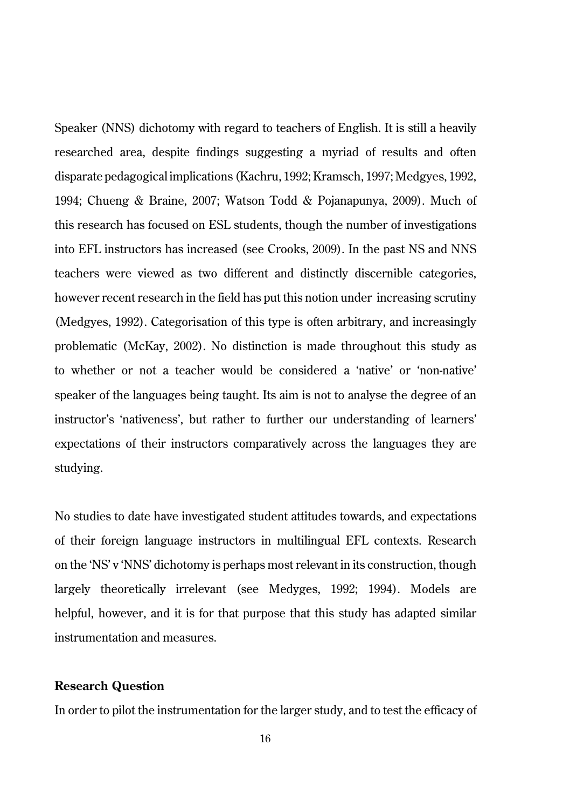Speaker (NNS) dichotomy with regard to teachers of English. It is still a heavily researched area, despite findings suggesting a myriad of results and often disparate pedagogical implications (Kachru, 1992; Kramsch, 1997; Medgyes, 1992, 1994; Chueng & Braine, 2007; Watson Todd & Pojanapunya, 2009). Much of this research has focused on ESL students, though the number of investigations into EFL instructors has increased (see Crooks, 2009). In the past NS and NNS teachers were viewed as two different and distinctly discernible categories, however recent research in the field has put this notion under increasing scrutiny (Medgyes, 1992). Categorisation of this type is often arbitrary, and increasingly problematic (McKay, 2002). No distinction is made throughout this study as to whether or not a teacher would be considered a 'native' or 'non-native' speaker of the languages being taught. Its aim is not to analyse the degree of an instructor's 'nativeness', but rather to further our understanding of learners' expectations of their instructors comparatively across the languages they are studying.

No studies to date have investigated student attitudes towards, and expectations of their foreign language instructors in multilingual EFL contexts. Research on the 'NS' v 'NNS' dichotomy is perhaps most relevant in its construction, though largely theoretically irrelevant (see Medyges, 1992; 1994). Models are helpful, however, and it is for that purpose that this study has adapted similar instrumentation and measures.

# **Research Question**

In order to pilot the instrumentation for the larger study, and to test the efficacy of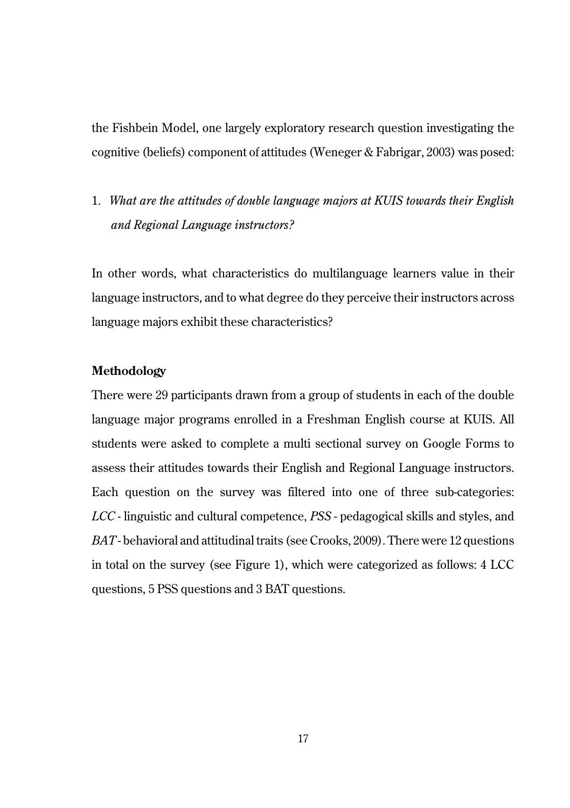the Fishbein Model, one largely exploratory research question investigating the cognitive (beliefs) component of attitudes (Weneger & Fabrigar, 2003) was posed:

1. *What are the attitudes of double language majors at KUIS towards their English and Regional Language instructors?*

In other words, what characteristics do multilanguage learners value in their language instructors, and to what degree do they perceive their instructors across language majors exhibit these characteristics?

### **Methodology**

There were 29 participants drawn from a group of students in each of the double language major programs enrolled in a Freshman English course at KUIS. All students were asked to complete a multi sectional survey on Google Forms to assess their attitudes towards their English and Regional Language instructors. Each question on the survey was filtered into one of three sub-categories: *LCC* - linguistic and cultural competence, *PSS* - pedagogical skills and styles, and *BAT* - behavioral and attitudinal traits (see Crooks, 2009). There were 12 questions in total on the survey (see Figure 1), which were categorized as follows: 4 LCC questions, 5 PSS questions and 3 BAT questions.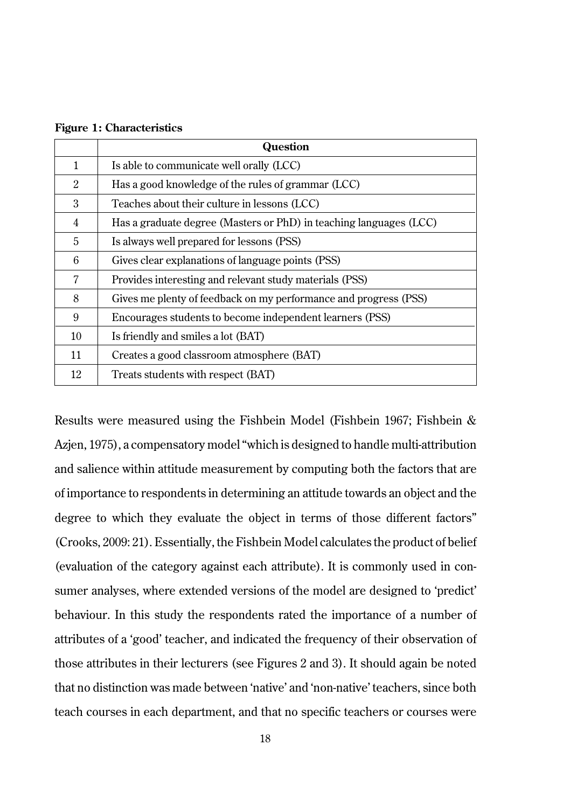|              | Question                                                           |
|--------------|--------------------------------------------------------------------|
| $\mathbf{1}$ | Is able to communicate well orally (LCC)                           |
| 2            | Has a good knowledge of the rules of grammar (LCC)                 |
| 3            | Teaches about their culture in lessons (LCC)                       |
| 4            | Has a graduate degree (Masters or PhD) in teaching languages (LCC) |
| 5            | Is always well prepared for lessons (PSS)                          |
| 6            | Gives clear explanations of language points (PSS)                  |
| 7            | Provides interesting and relevant study materials (PSS)            |
| 8            | Gives me plenty of feedback on my performance and progress (PSS)   |
| 9            | Encourages students to become independent learners (PSS)           |
| 10           | Is friendly and smiles a lot (BAT)                                 |
| 11           | Creates a good classroom atmosphere (BAT)                          |
| 12           | Treats students with respect (BAT)                                 |

**Figure 1: Characteristics**

Results were measured using the Fishbein Model (Fishbein 1967; Fishbein & Azjen, 1975), a compensatory model "which is designed to handle multi-attribution and salience within attitude measurement by computing both the factors that are of importance to respondents in determining an attitude towards an object and the degree to which they evaluate the object in terms of those different factors" (Crooks, 2009: 21). Essentially, the Fishbein Model calculates the product of belief (evaluation of the category against each attribute). It is commonly used in consumer analyses, where extended versions of the model are designed to 'predict' behaviour. In this study the respondents rated the importance of a number of attributes of a 'good' teacher, and indicated the frequency of their observation of those attributes in their lecturers (see Figures 2 and 3). It should again be noted that no distinction was made between 'native' and 'non-native' teachers, since both teach courses in each department, and that no specific teachers or courses were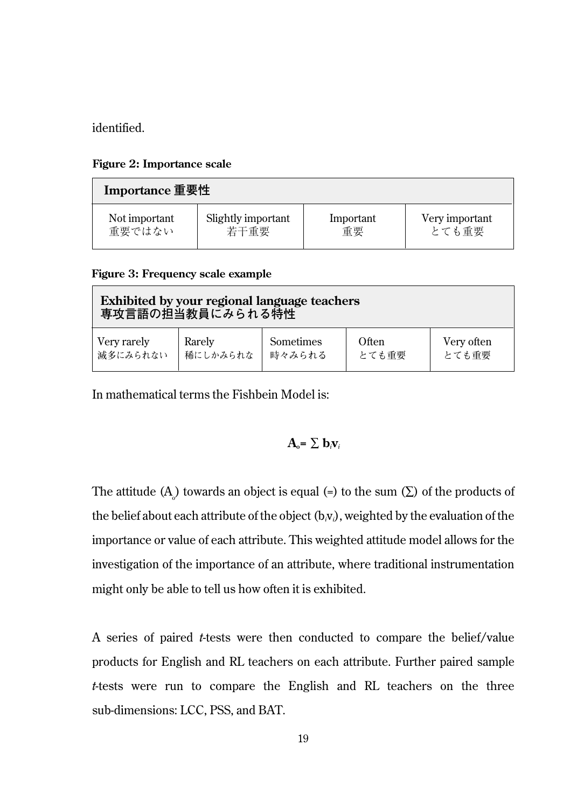identified.

#### **Figure 2: Importance scale**

| Importance 重要性 |                    |           |                |  |  |
|----------------|--------------------|-----------|----------------|--|--|
| Not important  | Slightly important | Important | Very important |  |  |
| 重要ではない         | 若干重要               | 重要        | とても重要          |  |  |

**Figure 3: Frequency scale example**

| Exhibited by your regional language teachers<br>専攻言語の担当教員にみられる特性 |          |                  |       |            |  |  |
|------------------------------------------------------------------|----------|------------------|-------|------------|--|--|
| Very rarely                                                      | Rarely   | <b>Sometimes</b> | Often | Very often |  |  |
| 減多にみられない                                                         | 稀にしかみられな | 時々みられる           | とても重要 | とても重要      |  |  |

In mathematical terms the Fishbein Model is:

$$
\mathbf{A}_{o} = \sum \mathbf{b}_{i} \mathbf{v}_{i}
$$

The attitude (A $_{\!\circ}$ ) towards an object is equal (=) to the sum (∑) of the products of the belief about each attribute of the object (b*i*v*i*), weighted by the evaluation of the importance or value of each attribute. This weighted attitude model allows for the investigation of the importance of an attribute, where traditional instrumentation might only be able to tell us how often it is exhibited.

A series of paired *t*-tests were then conducted to compare the belief/value products for English and RL teachers on each attribute. Further paired sample *t*-tests were run to compare the English and RL teachers on the three sub-dimensions: LCC, PSS, and BAT.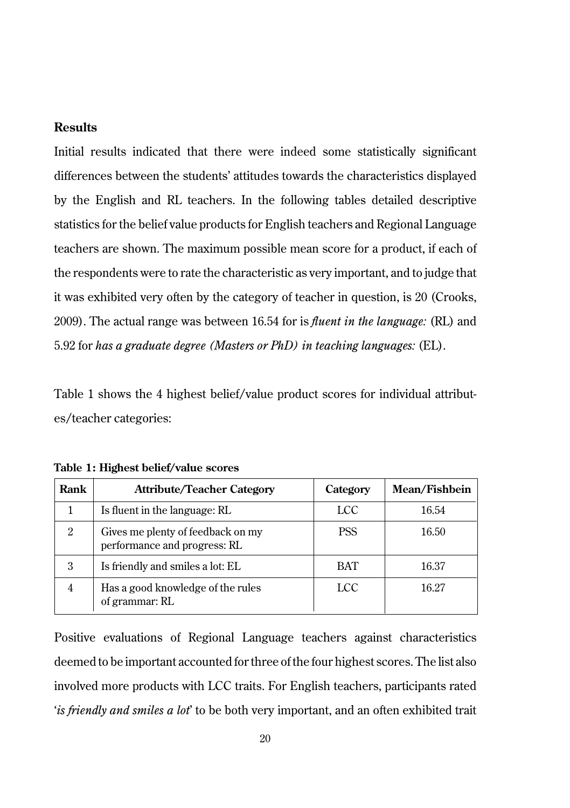# **Results**

Initial results indicated that there were indeed some statistically significant differences between the students' attitudes towards the characteristics displayed by the English and RL teachers. In the following tables detailed descriptive statistics for the belief value products for English teachers and Regional Language teachers are shown. The maximum possible mean score for a product, if each of the respondents were to rate the characteristic as very important, and to judge that it was exhibited very often by the category of teacher in question, is 20 (Crooks, 2009). The actual range was between 16.54 for is *fluent in the language:* (RL) and 5.92 for *has a graduate degree (Masters or PhD) in teaching languages:* (EL).

Table 1 shows the 4 highest belief/value product scores for individual attributes/teacher categories:

| Rank           | <b>Attribute/Teacher Category</b>                                 | Category   | Mean/Fishbein |
|----------------|-------------------------------------------------------------------|------------|---------------|
|                | Is fluent in the language: RL                                     | LCC        | 16.54         |
| $\overline{2}$ | Gives me plenty of feedback on my<br>performance and progress: RL | <b>PSS</b> | 16.50         |
| 3              | Is friendly and smiles a lot: EL                                  | <b>BAT</b> | 16.37         |
| $\overline{4}$ | Has a good knowledge of the rules<br>of grammar: RL               | LCC        | 16.27         |

**Table 1: Highest belief/value scores**

Positive evaluations of Regional Language teachers against characteristics deemed to be important accounted for three of the four highest scores. The list also involved more products with LCC traits. For English teachers, participants rated '*is friendly and smiles a lot*' to be both very important, and an often exhibited trait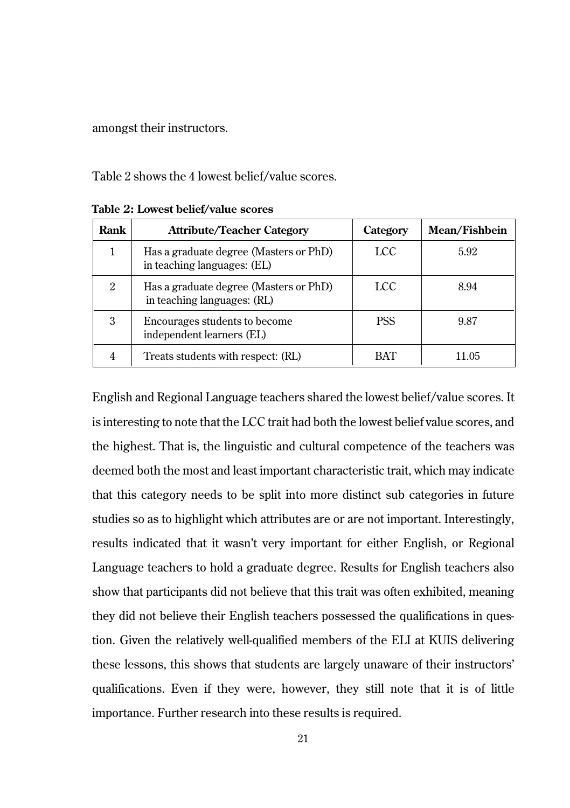amongst their instructors.

Table 2 shows the 4 lowest belief/value scores.

| Rank | <b>Attribute/Teacher Category</b>                                     | Category   | Mean/Fishbein |
|------|-----------------------------------------------------------------------|------------|---------------|
|      | Has a graduate degree (Masters or PhD)<br>in teaching languages: (EL) | LCC        | 5.92          |
| 2    | Has a graduate degree (Masters or PhD)<br>in teaching languages: (RL) | LCC        | 8.94          |
| 3    | Encourages students to become<br>independent learners (EL)            | <b>PSS</b> | 9.87          |
| 4    | Treats students with respect: (RL)                                    | BAT        | 11 05         |

**Table 2: Lowest belief/value scores**

English and Regional Language teachers shared the lowest belief/value scores. It is interesting to note that the LCC trait had both the lowest belief value scores, and the highest. That is, the linguistic and cultural competence of the teachers was deemed both the most and least important characteristic trait, which may indicate that this category needs to be split into more distinct sub categories in future studies so as to highlight which attributes are or are not important. Interestingly, results indicated that it wasn't very important for either English, or Regional Language teachers to hold a graduate degree. Results for English teachers also show that participants did not believe that this trait was often exhibited, meaning they did not believe their English teachers possessed the qualifications in question. Given the relatively well-qualified members of the ELI at KUIS delivering these lessons, this shows that students are largely unaware of their instructors' qualifications. Even if they were, however, they still note that it is of little importance. Further research into these results is required.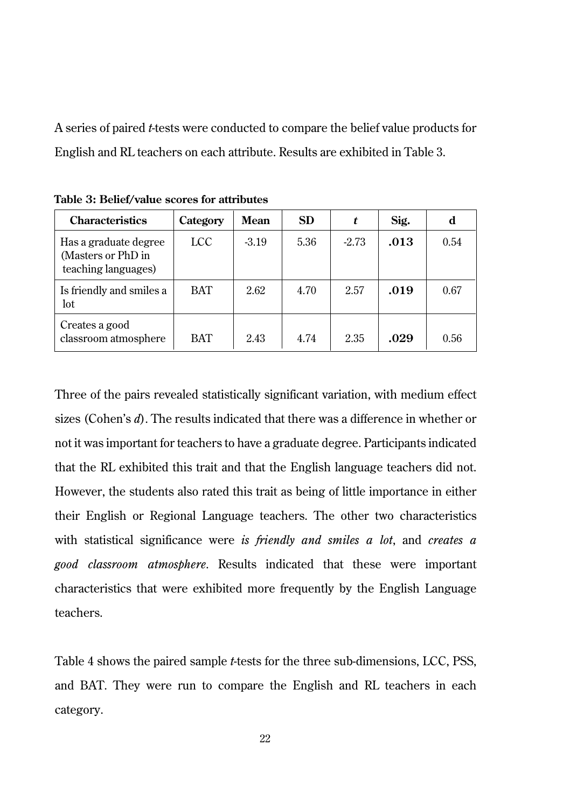A series of paired *t*-tests were conducted to compare the belief value products for English and RL teachers on each attribute. Results are exhibited in Table 3.

| <b>Characteristics</b>                                             | Category   | Mean    | SD.  | t       | Sig. | d    |
|--------------------------------------------------------------------|------------|---------|------|---------|------|------|
| Has a graduate degree<br>(Masters or PhD in<br>teaching languages) | LCC        | $-3.19$ | 5.36 | $-2.73$ | .013 | 0.54 |
| Is friendly and smiles a<br>lot.                                   | <b>BAT</b> | 2.62    | 4.70 | 2.57    | .019 | 0.67 |
| Creates a good<br>classroom atmosphere                             | <b>BAT</b> | 2.43    | 4.74 | 2.35    | .029 | 0.56 |

**Table 3: Belief/value scores for attributes**

Three of the pairs revealed statistically significant variation, with medium effect sizes (Cohen's *d*). The results indicated that there was a difference in whether or not it was important for teachers to have a graduate degree. Participants indicated that the RL exhibited this trait and that the English language teachers did not. However, the students also rated this trait as being of little importance in either their English or Regional Language teachers. The other two characteristics with statistical significance were *is friendly and smiles a lot*, and *creates a good classroom atmosphere*. Results indicated that these were important characteristics that were exhibited more frequently by the English Language teachers.

Table 4 shows the paired sample *t*-tests for the three sub-dimensions, LCC, PSS, and BAT. They were run to compare the English and RL teachers in each category.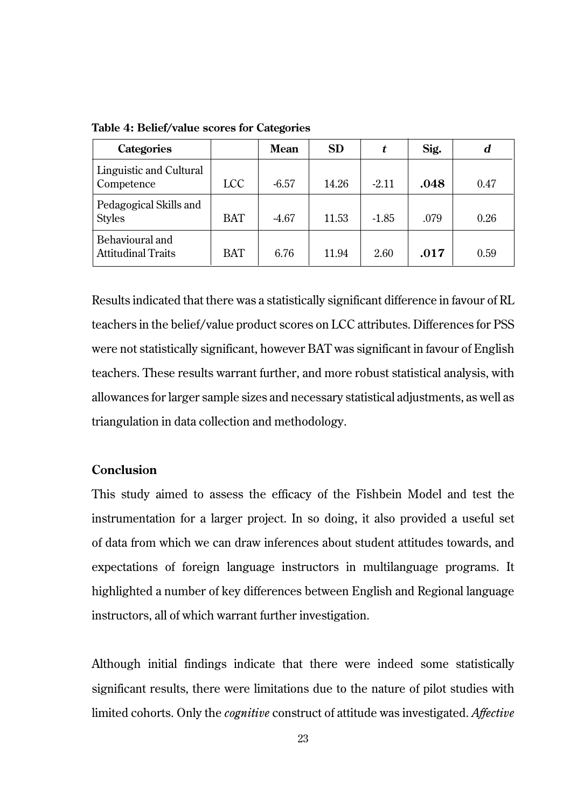| <b>Categories</b>                       |            | Mean    | <b>SD</b> |         | Sig. | d    |
|-----------------------------------------|------------|---------|-----------|---------|------|------|
| Linguistic and Cultural<br>Competence   | LCC        | $-6.57$ | 14.26     | $-2.11$ | .048 | 0.47 |
| Pedagogical Skills and<br><b>Styles</b> | <b>BAT</b> | $-4.67$ | 11.53     | $-1.85$ | .079 | 0.26 |
| Behavioural and<br>Attitudinal Traits   | <b>BAT</b> | 6.76    | 11.94     | 2.60    | .017 | 0.59 |

**Table 4: Belief/value scores for Categories**

Results indicated that there was a statistically significant difference in favour of RL teachers in the belief/value product scores on LCC attributes. Differences for PSS were not statistically significant, however BAT was significant in favour of English teachers. These results warrant further, and more robust statistical analysis, with allowances for larger sample sizes and necessary statistical adjustments, as well as triangulation in data collection and methodology.

# **Conclusion**

This study aimed to assess the efficacy of the Fishbein Model and test the instrumentation for a larger project. In so doing, it also provided a useful set of data from which we can draw inferences about student attitudes towards, and expectations of foreign language instructors in multilanguage programs. It highlighted a number of key differences between English and Regional language instructors, all of which warrant further investigation.

Although initial findings indicate that there were indeed some statistically significant results, there were limitations due to the nature of pilot studies with limited cohorts. Only the *cognitive* construct of attitude was investigated. *Affective*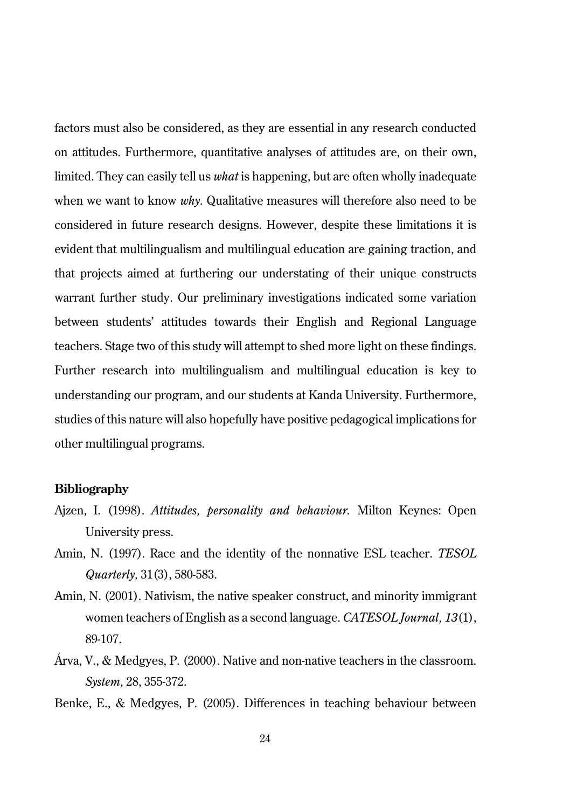factors must also be considered, as they are essential in any research conducted on attitudes. Furthermore, quantitative analyses of attitudes are, on their own, limited. They can easily tell us *what* is happening, but are often wholly inadequate when we want to know *why*. Qualitative measures will therefore also need to be considered in future research designs. However, despite these limitations it is evident that multilingualism and multilingual education are gaining traction, and that projects aimed at furthering our understating of their unique constructs warrant further study. Our preliminary investigations indicated some variation between students' attitudes towards their English and Regional Language teachers. Stage two of this study will attempt to shed more light on these findings. Further research into multilingualism and multilingual education is key to understanding our program, and our students at Kanda University. Furthermore, studies of this nature will also hopefully have positive pedagogical implications for other multilingual programs.

#### **Bibliography**

- Ajzen, I. (1998). *Attitudes, personality and behaviour.* Milton Keynes: Open University press.
- Amin, N. (1997). Race and the identity of the nonnative ESL teacher. *TESOL Quarterly,* 31(3), 580-583.
- Amin, N. (2001). Nativism, the native speaker construct, and minority immigrant women teachers of English as a second language. *CATESOL Journal, 13*(1), 89-107.
- Árva, V., & Medgyes, P. (2000). Native and non-native teachers in the classroom. *System,* 28, 355-372.
- Benke, E., & Medgyes, P. (2005). Differences in teaching behaviour between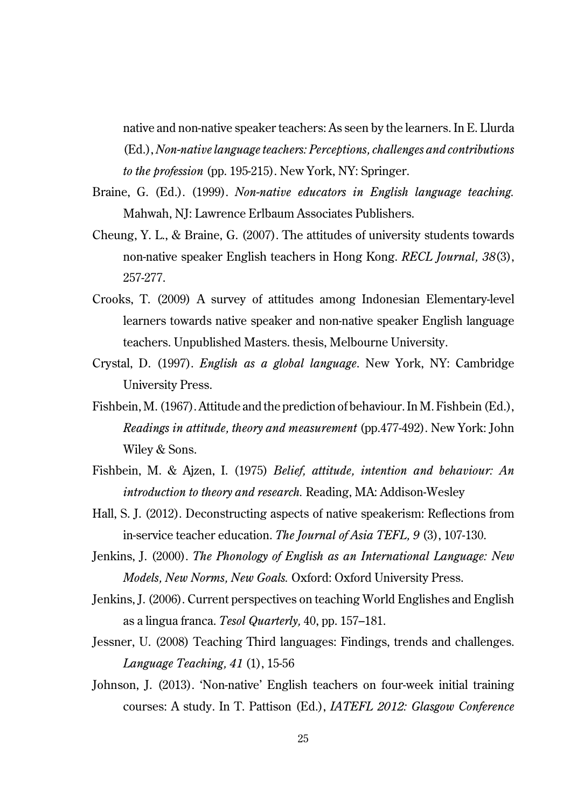native and non-native speaker teachers: As seen by the learners. In E. Llurda (Ed.), *Non-native language teachers: Perceptions, challenges and contributions to the profession* (pp. 195-215). New York, NY: Springer.

- Braine, G. (Ed.). (1999). *Non-native educators in English language teaching.* Mahwah, NJ: Lawrence Erlbaum Associates Publishers.
- Cheung, Y. L., & Braine, G. (2007). The attitudes of university students towards non-native speaker English teachers in Hong Kong. *RECL Journal, 38*(3), 257-277.
- Crooks, T. (2009) A survey of attitudes among Indonesian Elementary-level learners towards native speaker and non-native speaker English language teachers. Unpublished Masters. thesis, Melbourne University.
- Crystal, D. (1997). *English as a global language*. New York, NY: Cambridge University Press.
- Fishbein, M. (1967). Attitude and the prediction of behaviour. In M. Fishbein (Ed.), *Readings in attitude, theory and measurement* (pp.477-492). New York: John Wiley & Sons.
- Fishbein, M. & Ajzen, I. (1975) *Belief, attitude, intention and behaviour: An introduction to theory and research.* Reading, MA: Addison-Wesley
- Hall, S. J. (2012). Deconstructing aspects of native speakerism: Reflections from in-service teacher education. *The Journal of Asia TEFL, 9* (3), 107-130.
- Jenkins, J. (2000). *The Phonology of English as an International Language: New Models, New Norms, New Goals.* Oxford: Oxford University Press.
- Jenkins, J. (2006). Current perspectives on teaching World Englishes and English as a lingua franca. *Tesol Quarterly,* 40, pp. 157–181.
- Jessner, U. (2008) Teaching Third languages: Findings, trends and challenges. *Language Teaching, 41* (1), 15-56
- Johnson, J. (2013). 'Non-native' English teachers on four-week initial training courses: A study. In T. Pattison (Ed.), *IATEFL 2012: Glasgow Conference*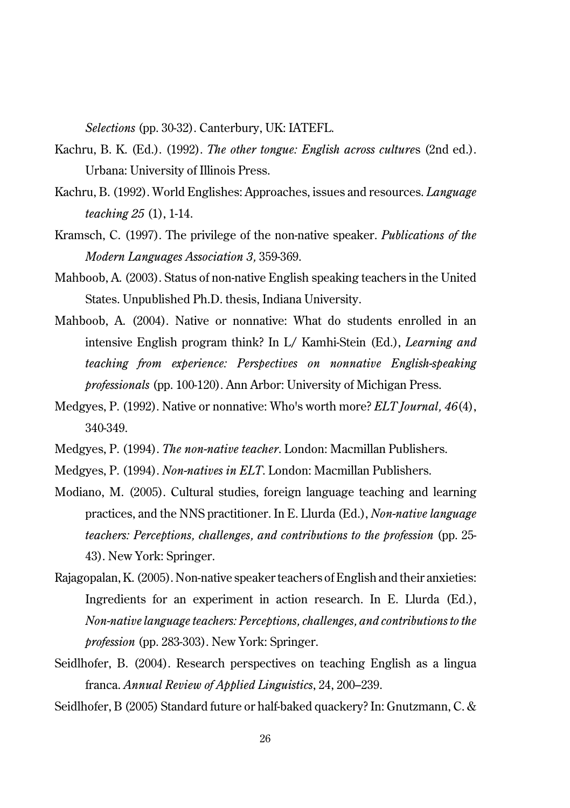*Selections* (pp. 30-32). Canterbury, UK: IATEFL.

- Kachru, B. K. (Ed.). (1992). *The other tongue: English across culture*s (2nd ed.). Urbana: University of Illinois Press.
- Kachru, B. (1992). World Englishes: Approaches, issues and resources. *Language teaching 25* (1), 1-14.
- Kramsch, C. (1997). The privilege of the non-native speaker. *Publications of the Modern Languages Association 3,* 359-369.
- Mahboob, A. (2003). Status of non-native English speaking teachers in the United States. Unpublished Ph.D. thesis, Indiana University.
- Mahboob, A. (2004). Native or nonnative: What do students enrolled in an intensive English program think? In L/ Kamhi-Stein (Ed.), *Learning and teaching from experience: Perspectives on nonnative English-speaking professionals* (pp. 100-120). Ann Arbor: University of Michigan Press.
- Medgyes, P. (1992). Native or nonnative: Who's worth more? *ELT Journal, 46*(4), 340-349.
- Medgyes, P. (1994). *The non-native teacher*. London: Macmillan Publishers.
- Medgyes, P. (1994). *Non-natives in ELT*. London: Macmillan Publishers.
- Modiano, M. (2005). Cultural studies, foreign language teaching and learning practices, and the NNS practitioner. In E. Llurda (Ed.), *Non-native language teachers: Perceptions, challenges, and contributions to the profession* (pp. 25- 43). New York: Springer.
- Rajagopalan, K. (2005). Non-native speaker teachers of English and their anxieties: Ingredients for an experiment in action research. In E. Llurda (Ed.), *Non-native language teachers: Perceptions, challenges, and contributions to the profession* (pp. 283-303). New York: Springer.
- Seidlhofer, B. (2004). Research perspectives on teaching English as a lingua franca. *Annual Review of Applied Linguistics*, 24, 200–239.

Seidlhofer, B (2005) Standard future or half-baked quackery? In: Gnutzmann, C. &